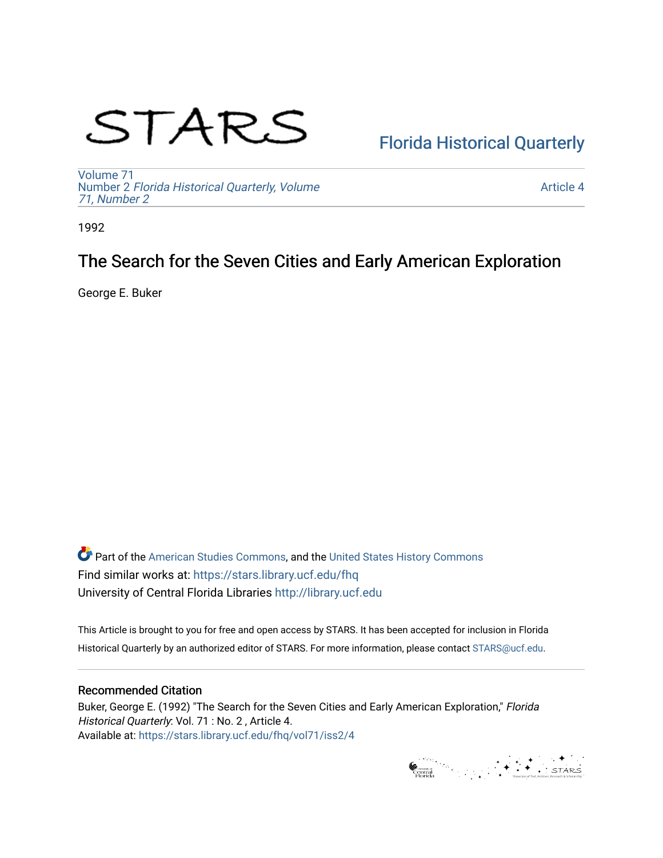# STARS

# [Florida Historical Quarterly](https://stars.library.ucf.edu/fhq)

[Volume 71](https://stars.library.ucf.edu/fhq/vol71) Number 2 [Florida Historical Quarterly, Volume](https://stars.library.ucf.edu/fhq/vol71/iss2)  [71, Number 2](https://stars.library.ucf.edu/fhq/vol71/iss2)

[Article 4](https://stars.library.ucf.edu/fhq/vol71/iss2/4) 

1992

## The Search for the Seven Cities and Early American Exploration

George E. Buker

**C** Part of the [American Studies Commons](http://network.bepress.com/hgg/discipline/439?utm_source=stars.library.ucf.edu%2Ffhq%2Fvol71%2Fiss2%2F4&utm_medium=PDF&utm_campaign=PDFCoverPages), and the United States History Commons Find similar works at: <https://stars.library.ucf.edu/fhq> University of Central Florida Libraries [http://library.ucf.edu](http://library.ucf.edu/) 

This Article is brought to you for free and open access by STARS. It has been accepted for inclusion in Florida Historical Quarterly by an authorized editor of STARS. For more information, please contact [STARS@ucf.edu.](mailto:STARS@ucf.edu)

### Recommended Citation

Buker, George E. (1992) "The Search for the Seven Cities and Early American Exploration," Florida Historical Quarterly: Vol. 71 : No. 2 , Article 4. Available at: [https://stars.library.ucf.edu/fhq/vol71/iss2/4](https://stars.library.ucf.edu/fhq/vol71/iss2/4?utm_source=stars.library.ucf.edu%2Ffhq%2Fvol71%2Fiss2%2F4&utm_medium=PDF&utm_campaign=PDFCoverPages) 

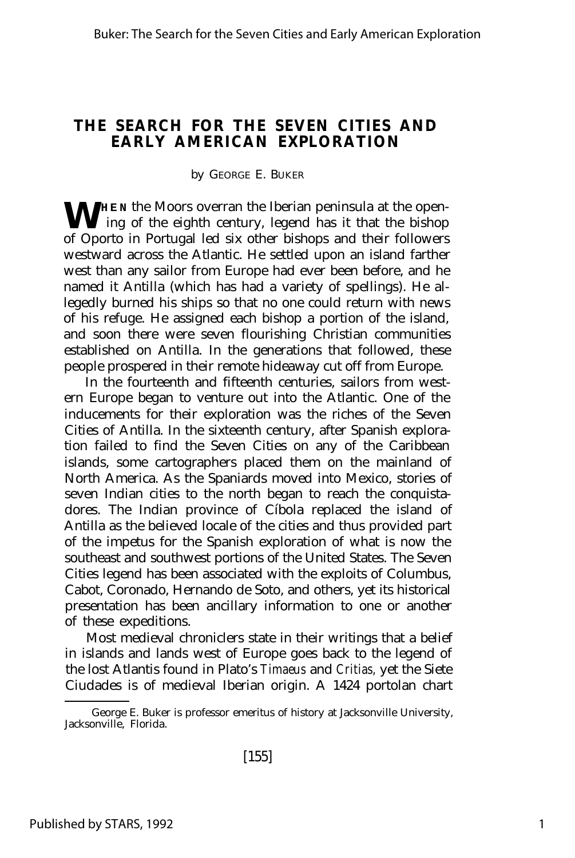### **THE SEARCH FOR THE SEVEN CITIES AND EARLY AMERICAN EXPLORATION**

### by GEORGE E. BUKER

WHEN the Moors overran the Iberian peninsula at the open-ing of the eighth century, legend has it that the bishop ing of the eighth century, legend has it that the bishop of Oporto in Portugal led six other bishops and their followers westward across the Atlantic. He settled upon an island farther west than any sailor from Europe had ever been before, and he named it Antilla (which has had a variety of spellings). He allegedly burned his ships so that no one could return with news of his refuge. He assigned each bishop a portion of the island, and soon there were seven flourishing Christian communities established on Antilla. In the generations that followed, these people prospered in their remote hideaway cut off from Europe.

In the fourteenth and fifteenth centuries, sailors from western Europe began to venture out into the Atlantic. One of the inducements for their exploration was the riches of the Seven Cities of Antilla. In the sixteenth century, after Spanish exploration failed to find the Seven Cities on any of the Caribbean islands, some cartographers placed them on the mainland of North America. As the Spaniards moved into Mexico, stories of seven Indian cities to the north began to reach the conquistadores. The Indian province of Cíbola replaced the island of Antilla as the believed locale of the cities and thus provided part of the impetus for the Spanish exploration of what is now the southeast and southwest portions of the United States. The Seven Cities legend has been associated with the exploits of Columbus, Cabot, Coronado, Hernando de Soto, and others, yet its historical presentation has been ancillary information to one or another of these expeditions.

Most medieval chroniclers state in their writings that a belief in islands and lands west of Europe goes back to the legend of the lost Atlantis found in Plato's *Timaeus* and *Critias,* yet the Siete Ciudades is of medieval Iberian origin. A 1424 portolan chart

George E. Buker is professor emeritus of history at Jacksonville University, Jacksonville, Florida.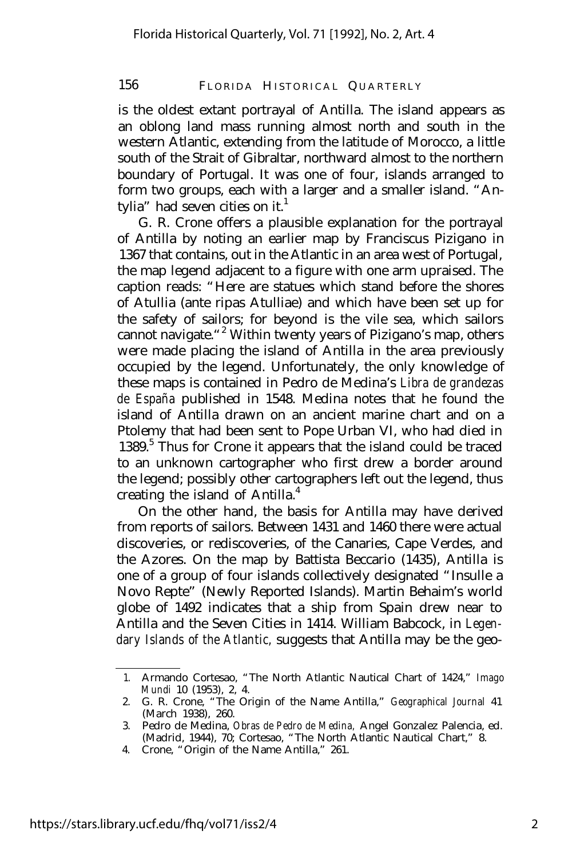is the oldest extant portrayal of Antilla. The island appears as an oblong land mass running almost north and south in the western Atlantic, extending from the latitude of Morocco, a little south of the Strait of Gibraltar, northward almost to the northern boundary of Portugal. It was one of four, islands arranged to form two groups, each with a larger and a smaller island. "Antylia" had seven cities on it.<sup>1</sup>

G. R. Crone offers a plausible explanation for the portrayal of Antilla by noting an earlier map by Franciscus Pizigano in 1367 that contains, out in the Atlantic in an area west of Portugal, the map legend adjacent to a figure with one arm upraised. The caption reads: "Here are statues which stand before the shores of Atullia (ante ripas Atulliae) and which have been set up for the safety of sailors; for beyond is the vile sea, which sailors cannot navigate."<sup>2</sup> Within twenty years of Pizigano's map, others were made placing the island of Antilla in the area previously occupied by the legend. Unfortunately, the only knowledge of these maps is contained in Pedro de Medina's *Libra de grandezas de España* published in 1548. Medina notes that he found the island of Antilla drawn on an ancient marine chart and on a Ptolemy that had been sent to Pope Urban VI, who had died in 1389.<sup>5</sup> Thus for Crone it appears that the island could be traced to an unknown cartographer who first drew a border around the legend; possibly other cartographers left out the legend, thus creating the island of Antilla.<sup>4</sup>

On the other hand, the basis for Antilla may have derived from reports of sailors. Between 1431 and 1460 there were actual discoveries, or rediscoveries, of the Canaries, Cape Verdes, and the Azores. On the map by Battista Beccario (1435), Antilla is one of a group of four islands collectively designated "Insulle a Novo Repte" (Newly Reported Islands). Martin Behaim's world globe of 1492 indicates that a ship from Spain drew near to Antilla and the Seven Cities in 1414. William Babcock, in *Legendary Islands of the Atlantic,* suggests that Antilla may be the geo-

<sup>1.</sup> Armando Cortesao, "The North Atlantic Nautical Chart of 1424," *Imago Mundi* 10 (1953), 2, 4.

<sup>2.</sup> G. R. Crone, "The Origin of the Name Antilla," *Geographical Journal* 41 (March 1938), 260.

<sup>3.</sup> Pedro de Medina, *Obras de Pedro de Medina,* Angel Gonzalez Palencia, ed. (Madrid, 1944), 70; Cortesao, "The North Atlantic Nautical Chart," 8.

<sup>4.</sup> Crone, "Origin of the Name Antilla," 261.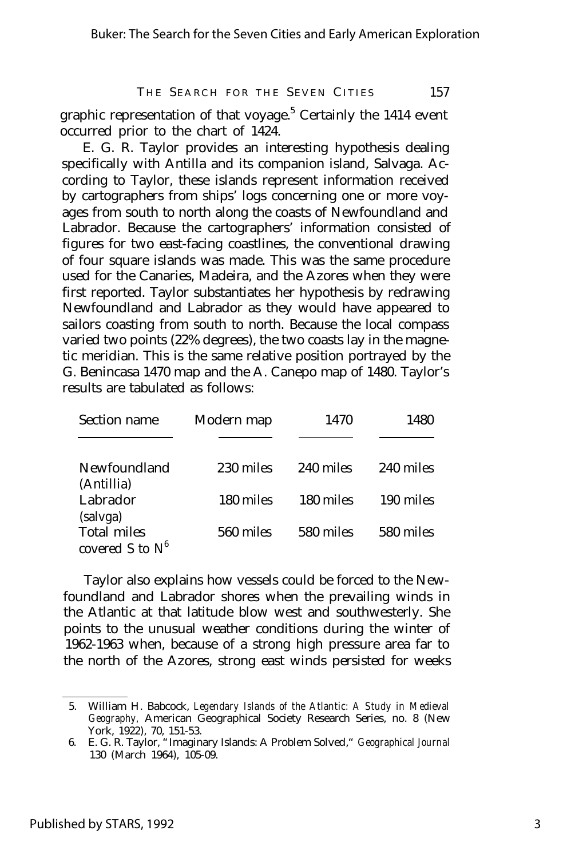graphic representation of that voyage.<sup>5</sup> Certainly the 1414 event occurred prior to the chart of 1424.

E. G. R. Taylor provides an interesting hypothesis dealing specifically with Antilla and its companion island, Salvaga. According to Taylor, these islands represent information received by cartographers from ships' logs concerning one or more voyages from south to north along the coasts of Newfoundland and Labrador. Because the cartographers' information consisted of figures for two east-facing coastlines, the conventional drawing of four square islands was made. This was the same procedure used for the Canaries, Madeira, and the Azores when they were first reported. Taylor substantiates her hypothesis by redrawing Newfoundland and Labrador as they would have appeared to sailors coasting from south to north. Because the local compass varied two points (22% degrees), the two coasts lay in the magnetic meridian. This is the same relative position portrayed by the G. Benincasa 1470 map and the A. Canepo map of 1480. Taylor's results are tabulated as follows:

| Section name                             | Modern map | 1470      | 1480      |
|------------------------------------------|------------|-----------|-----------|
| Newfoundland<br>(Antillia)               | 230 miles  | 240 miles | 240 miles |
| Labrador                                 | 180 miles  | 180 miles | 190 miles |
| (salvga)                                 |            |           |           |
| <b>Total miles</b><br>covered S to $N^6$ | 560 miles  | 580 miles | 580 miles |

Taylor also explains how vessels could be forced to the Newfoundland and Labrador shores when the prevailing winds in the Atlantic at that latitude blow west and southwesterly. She points to the unusual weather conditions during the winter of 1962-1963 when, because of a strong high pressure area far to the north of the Azores, strong east winds persisted for weeks

<sup>5.</sup> William H. Babcock, *Legendary Islands of the Atlantic: A Study in Medieval Geography,* American Geographical Society Research Series, no. 8 (New York, 1922), 70, 151-53.

<sup>6.</sup> E. G. R. Taylor, "Imaginary Islands: A Problem Solved," *Geographical Journal* 130 (March 1964), 105-09.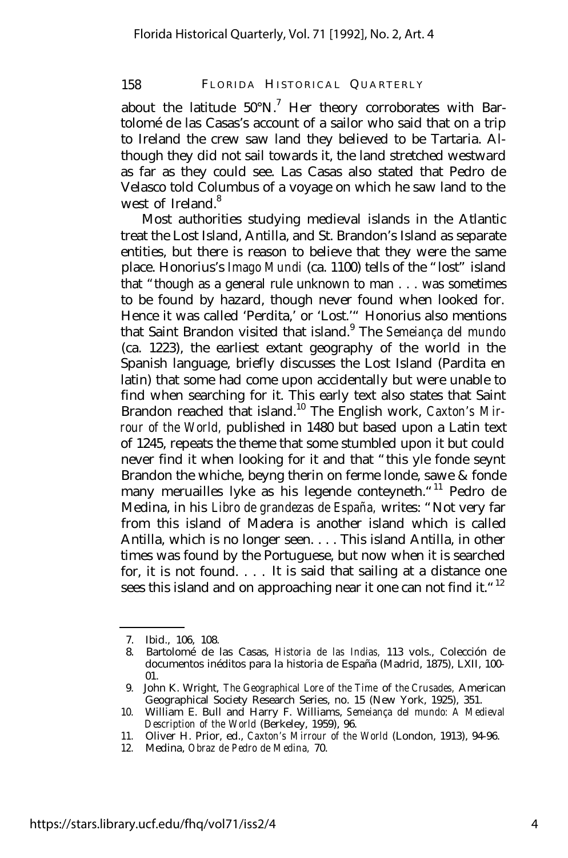about the latitude  $50^{\circ}$ N.<sup>7</sup> Her theory corroborates with Bartolomé de las Casas's account of a sailor who said that on a trip to Ireland the crew saw land they believed to be Tartaria. Although they did not sail towards it, the land stretched westward as far as they could see. Las Casas also stated that Pedro de Velasco told Columbus of a voyage on which he saw land to the west of Ireland<sup>8</sup>

Most authorities studying medieval islands in the Atlantic treat the Lost Island, Antilla, and St. Brandon's Island as separate entities, but there is reason to believe that they were the same place. Honorius's *Imago Mundi* (ca. 1100) tells of the "lost" island that "though as a general rule unknown to man . . . was sometimes to be found by hazard, though never found when looked for. Hence it was called 'Perdita,' or 'Lost.'" Honorius also mentions that Saint Brandon visited that island.<sup>9</sup> The *Semeiança del mundo* (ca. 1223), the earliest extant geography of the world in the Spanish language, briefly discusses the Lost Island (Pardita en latin) that some had come upon accidentally but were unable to find when searching for it. This early text also states that Saint Brandon reached that island.<sup>10</sup> The English work, *Caxton's Mirrour of the World,* published in 1480 but based upon a Latin text of 1245, repeats the theme that some stumbled upon it but could never find it when looking for it and that "this yle fonde seynt Brandon the whiche, beyng therin on ferme londe, sawe & fonde many meruailles lyke as his legende conteyneth. "<sup>11</sup> Pedro de Medina, in his *Libro de grandezas de España,* writes: "Not very far from this island of Madera is another island which is called Antilla, which is no longer seen. . . . This island Antilla, in other times was found by the Portuguese, but now when it is searched for, it is not found. . . . It is said that sailing at a distance one sees this island and on approaching near it one can not find it."<sup>12</sup>

<sup>7.</sup> Ibid., 106, 108.

<sup>8.</sup> Bartolomé de las Casas, *Historia de las Indias,* 113 vols., Colección de documentos inéditos para la historia de España (Madrid, 1875), LXII, 100- 01.

<sup>9.</sup> John K. Wright, *The Geographical Lore of the Time* of *the Crusades,* American Geographical Society Research Series, no. 15 (New York, 1925), 351.

<sup>10.</sup> William E. Bull and Harry F. Williams, *Semeiança del mundo: A Medieval Description of the World* (Berkeley, 1959), 96.

<sup>11.</sup> Oliver H. Prior, ed., *Caxton's Mirrour of the World* (London, 1913), 94-96.

<sup>12.</sup> Medina, *Obraz de Pedro de Medina,* 70.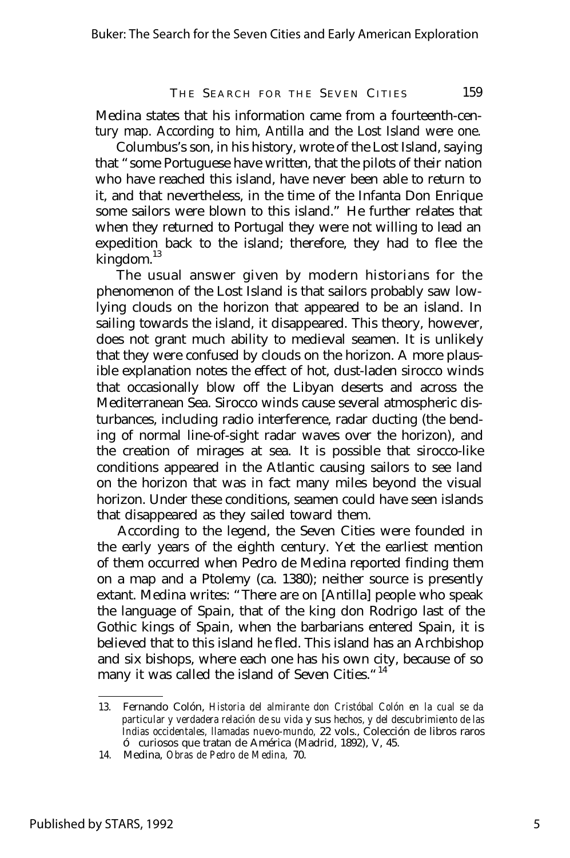Medina states that his information came from a fourteenth-century map. According to him, Antilla and the Lost Island were one.

Columbus's son, in his history, wrote of the Lost Island, saying that "some Portuguese have written, that the pilots of their nation who have reached this island, have never been able to return to it, and that nevertheless, in the time of the Infanta Don Enrique some sailors were blown to this island." He further relates that when they returned to Portugal they were not willing to lead an expedition back to the island; therefore, they had to flee the kingdom.<sup>13</sup>

The usual answer given by modern historians for the phenomenon of the Lost Island is that sailors probably saw lowlying clouds on the horizon that appeared to be an island. In sailing towards the island, it disappeared. This theory, however, does not grant much ability to medieval seamen. It is unlikely that they were confused by clouds on the horizon. A more plausible explanation notes the effect of hot, dust-laden sirocco winds that occasionally blow off the Libyan deserts and across the Mediterranean Sea. Sirocco winds cause several atmospheric disturbances, including radio interference, radar ducting (the bending of normal line-of-sight radar waves over the horizon), and the creation of mirages at sea. It is possible that sirocco-like conditions appeared in the Atlantic causing sailors to see land on the horizon that was in fact many miles beyond the visual horizon. Under these conditions, seamen could have seen islands that disappeared as they sailed toward them.

According to the legend, the Seven Cities were founded in the early years of the eighth century. Yet the earliest mention of them occurred when Pedro de Medina reported finding them on a map and a Ptolemy (ca. 1380); neither source is presently extant. Medina writes: "There are on [Antilla] people who speak the language of Spain, that of the king don Rodrigo last of the Gothic kings of Spain, when the barbarians entered Spain, it is believed that to this island he fled. This island has an Archbishop and six bishops, where each one has his own city, because of so many it was called the island of Seven Cities."<sup>14</sup>

<sup>13.</sup> Fernando Colón, *Historia del almirante don Cristóbal Colón en la cual se da particular y verdadera relación de su vida* y *sus hechos, y del descubrimiento de las Indias occidentales, llamadas nuevo-mundo,* 22 vols., Colección de libros raros ó curiosos que tratan de América (Madrid, 1892), V, 45.

<sup>14.</sup> Medina, *Obras de Pedro de Medina,* 70.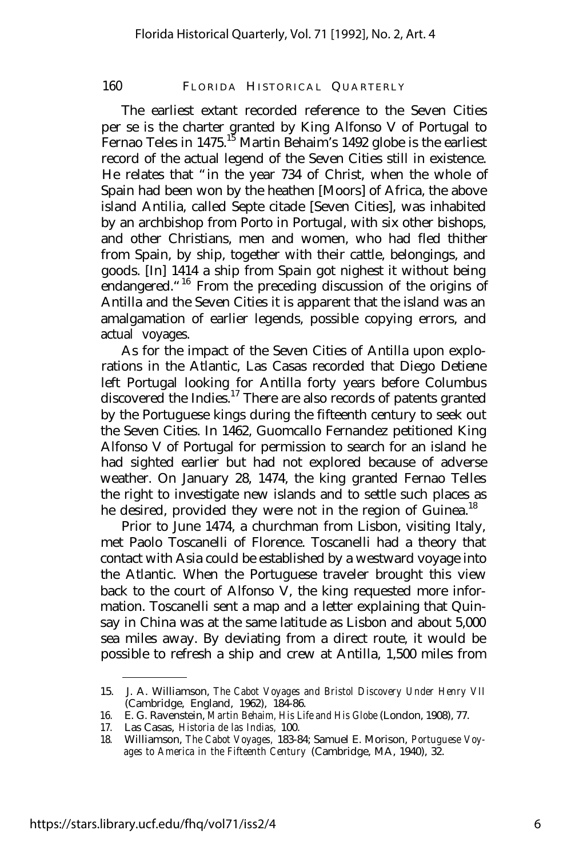The earliest extant recorded reference to the Seven Cities per se is the charter granted by King Alfonso V of Portugal to Fernao Teles in 1475.<sup>15</sup> Martin Behaim's 1492 globe is the earliest record of the actual legend of the Seven Cities still in existence. He relates that "in the year 734 of Christ, when the whole of Spain had been won by the heathen [Moors] of Africa, the above island Antilia, called Septe citade [Seven Cities], was inhabited by an archbishop from Porto in Portugal, with six other bishops, and other Christians, men and women, who had fled thither from Spain, by ship, together with their cattle, belongings, and goods. [In] 1414 a ship from Spain got nighest it without being endangered. "<sup>16</sup> From the preceding discussion of the origins of Antilla and the Seven Cities it is apparent that the island was an amalgamation of earlier legends, possible copying errors, and actual voyages.

As for the impact of the Seven Cities of Antilla upon explorations in the Atlantic, Las Casas recorded that Diego Detiene left Portugal looking for Antilla forty years before Columbus discovered the Indies.<sup>17</sup> There are also records of patents granted by the Portuguese kings during the fifteenth century to seek out the Seven Cities. In 1462, Guomcallo Fernandez petitioned King Alfonso V of Portugal for permission to search for an island he had sighted earlier but had not explored because of adverse weather. On January 28, 1474, the king granted Fernao Telles the right to investigate new islands and to settle such places as he desired, provided they were not in the region of Guinea.<sup>18</sup>

Prior to June 1474, a churchman from Lisbon, visiting Italy, met Paolo Toscanelli of Florence. Toscanelli had a theory that contact with Asia could be established by a westward voyage into the Atlantic. When the Portuguese traveler brought this view back to the court of Alfonso V, the king requested more information. Toscanelli sent a map and a letter explaining that Quinsay in China was at the same latitude as Lisbon and about 5,000 sea miles away. By deviating from a direct route, it would be possible to refresh a ship and crew at Antilla, 1,500 miles from

<sup>15.</sup> J. A. Williamson, *The Cabot Voyages and Bristol Discovery Under Henry VII* (Cambridge, England, 1962), 184-86.

<sup>16.</sup> E. G. Ravenstein, *Martin Behaim, His Life and His Globe* (London, 1908), 77.

<sup>17.</sup> Las Casas, *Historia de las Indias,* 100.

<sup>18.</sup> Williamson, *The Cabot Voyages,* 183-84; Samuel E. Morison, *Portuguese Voyages to America in the Fifteenth Century* (Cambridge, MA, 1940), 32.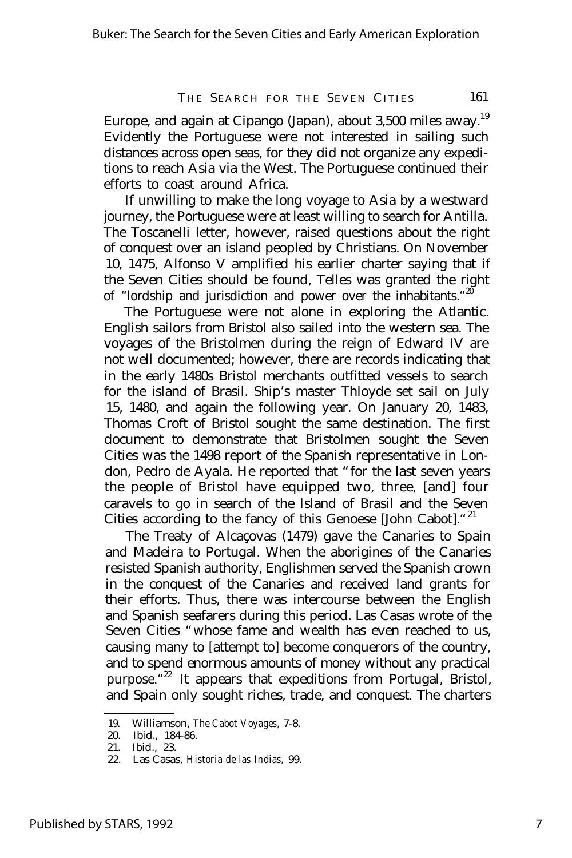Europe, and again at Cipango (Japan), about 3,500 miles away.<sup>19</sup> Evidently the Portuguese were not interested in sailing such distances across open seas, for they did not organize any expeditions to reach Asia via the West. The Portuguese continued their efforts to coast around Africa.

If unwilling to make the long voyage to Asia by a westward journey, the Portuguese were at least willing to search for Antilla. The Toscanelli letter, however, raised questions about the right of conquest over an island peopled by Christians. On November 10, 1475, Alfonso V amplified his earlier charter saying that if the Seven Cities should be found, Telles was granted the right of "lordship and jurisdiction and power over the inhabitants."<sup>20</sup>

The Portuguese were not alone in exploring the Atlantic. English sailors from Bristol also sailed into the western sea. The voyages of the Bristolmen during the reign of Edward IV are not well documented; however, there are records indicating that in the early 1480s Bristol merchants outfitted vessels to search for the island of Brasil. Ship's master Thloyde set sail on July 15, 1480, and again the following year. On January 20, 1483, Thomas Croft of Bristol sought the same destination. The first document to demonstrate that Bristolmen sought the Seven Cities was the 1498 report of the Spanish representative in London, Pedro de Ayala. He reported that "for the last seven years the people of Bristol have equipped two, three, [and] four caravels to go in search of the Island of Brasil and the Seven Cities according to the fancy of this Genoese [John Cabot]. "21

The Treaty of Alcaçovas (1479) gave the Canaries to Spain and Madeira to Portugal. When the aborigines of the Canaries resisted Spanish authority, Englishmen served the Spanish crown in the conquest of the Canaries and received land grants for their efforts. Thus, there was intercourse between the English and Spanish seafarers during this period. Las Casas wrote of the Seven Cities "whose fame and wealth has even reached to us, causing many to [attempt to] become conquerors of the country, and to spend enormous amounts of money without any practical purpose.<sup>"22</sup> It appears that expeditions from Portugal, Bristol, and Spain only sought riches, trade, and conquest. The charters

<sup>19.</sup> Williamson, *The Cabot Voyages,* 7-8.

<sup>20.</sup> Ibid., 184-86.

<sup>21.</sup> Ibid., 23.

<sup>22.</sup> Las Casas, *Historia de las Indias,* 99.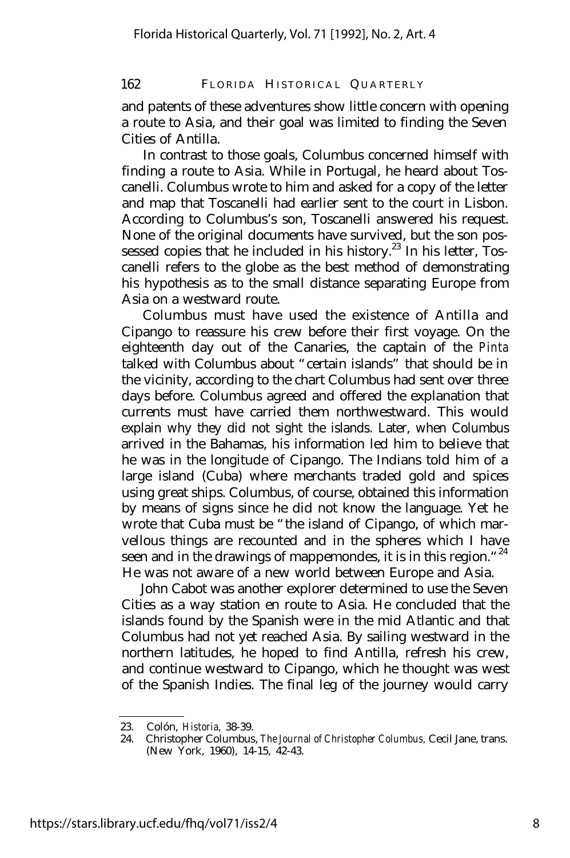and patents of these adventures show little concern with opening a route to Asia, and their goal was limited to finding the Seven Cities of Antilla.

In contrast to those goals, Columbus concerned himself with finding a route to Asia. While in Portugal, he heard about Toscanelli. Columbus wrote to him and asked for a copy of the letter and map that Toscanelli had earlier sent to the court in Lisbon. According to Columbus's son, Toscanelli answered his request. None of the original documents have survived, but the son possessed copies that he included in his history.<sup>23</sup> In his letter,  $T$ oscanelli refers to the globe as the best method of demonstrating his hypothesis as to the small distance separating Europe from Asia on a westward route.

Columbus must have used the existence of Antilla and Cipango to reassure his crew before their first voyage. On the eighteenth day out of the Canaries, the captain of the *Pinta* talked with Columbus about "certain islands" that should be in the vicinity, according to the chart Columbus had sent over three days before. Columbus agreed and offered the explanation that currents must have carried them northwestward. This would explain why they did not sight the islands. Later, when Columbus arrived in the Bahamas, his information led him to believe that he was in the longitude of Cipango. The Indians told him of a large island (Cuba) where merchants traded gold and spices using great ships. Columbus, of course, obtained this information by means of signs since he did not know the language. Yet he wrote that Cuba must be "the island of Cipango, of which marvellous things are recounted and in the spheres which I have seen and in the drawings of mappemondes, it is in this region."<sup>24</sup> He was not aware of a new world between Europe and Asia.

John Cabot was another explorer determined to use the Seven Cities as a way station en route to Asia. He concluded that the islands found by the Spanish were in the mid Atlantic and that Columbus had not yet reached Asia. By sailing westward in the northern latitudes, he hoped to find Antilla, refresh his crew, and continue westward to Cipango, which he thought was west of the Spanish Indies. The final leg of the journey would carry

<sup>23.</sup> Colón, *Historia,* 38-39.

<sup>24.</sup> Christopher Columbus, *The Journal of Christopher Columbus,* Cecil Jane, trans. (New York, 1960), 14-15, 42-43.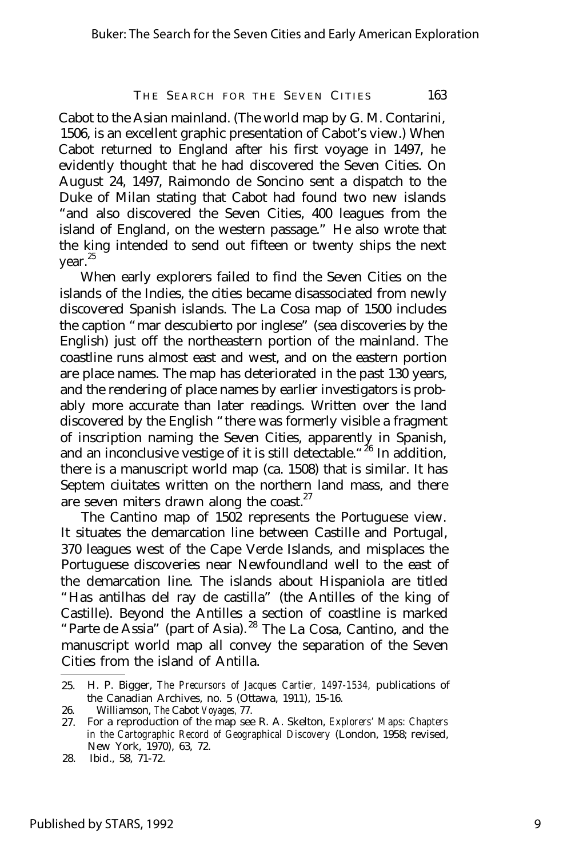Cabot to the Asian mainland. (The world map by G. M. Contarini, 1506, is an excellent graphic presentation of Cabot's view.) When Cabot returned to England after his first voyage in 1497, he evidently thought that he had discovered the Seven Cities. On August 24, 1497, Raimondo de Soncino sent a dispatch to the Duke of Milan stating that Cabot had found two new islands "and also discovered the Seven Cities, 400 leagues from the island of England, on the western passage." He also wrote that the king intended to send out fifteen or twenty ships the next year.<sup>25</sup>

When early explorers failed to find the Seven Cities on the islands of the Indies, the cities became disassociated from newly discovered Spanish islands. The La Cosa map of 1500 includes the caption "mar descubierto por inglese" (sea discoveries by the English) just off the northeastern portion of the mainland. The coastline runs almost east and west, and on the eastern portion are place names. The map has deteriorated in the past 130 years, and the rendering of place names by earlier investigators is probably more accurate than later readings. Written over the land discovered by the English "there was formerly visible a fragment of inscription naming the Seven Cities, apparently in Spanish, and an inconclusive vestige of it is still detectable."<sup>26</sup> In addition, there is a manuscript world map (ca. 1508) that is similar. It has Septem ciuitates written on the northern land mass, and there are seven miters drawn along the coast. $27$ 

The Cantino map of 1502 represents the Portuguese view. It situates the demarcation line between Castille and Portugal, 370 leagues west of the Cape Verde Islands, and misplaces the Portuguese discoveries near Newfoundland well to the east of the demarcation line. The islands about Hispaniola are titled "Has antilhas del ray de castilla" (the Antilles of the king of Castille). Beyond the Antilles a section of coastline is marked "Parte de Assia" (part of Asia). <sup>28</sup> The La Cosa, Cantino, and the manuscript world map all convey the separation of the Seven Cities from the island of Antilla.

<sup>25.</sup> H. P. Bigger, *The Precursors of Jacques Cartier, 1497-1534,* publications of the Canadian Archives, no. 5 (Ottawa, 1911), 15-16.

<sup>26.</sup> Williamson, *The* Cabot *Voyages,* 77.

<sup>27.</sup> For a reproduction of the map see R. A. Skelton, *Explorers' Maps: Chapters in the Cartographic Record of Geographical Discovery* (London, 1958; revised, New York, 1970), 63, 72.

<sup>28.</sup> Ibid., 58, 71-72.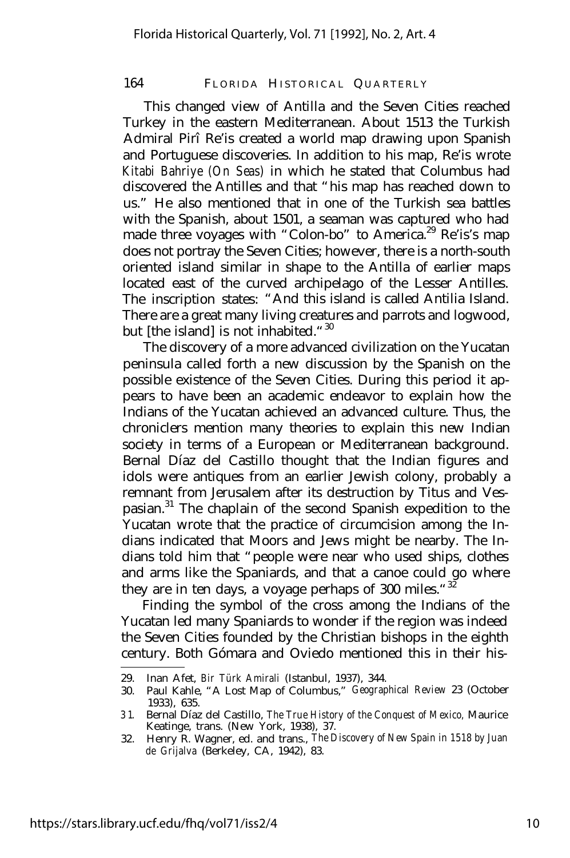This changed view of Antilla and the Seven Cities reached Turkey in the eastern Mediterranean. About 1513 the Turkish Admiral Pirî Re'is created a world map drawing upon Spanish and Portuguese discoveries. In addition to his map, Re'is wrote *Kitabi Bahriye (On Seas)* in which he stated that Columbus had discovered the Antilles and that "his map has reached down to us." He also mentioned that in one of the Turkish sea battles with the Spanish, about 1501, a seaman was captured who had made three voyages with "Colon-bo" to America.<sup>29</sup> Re'is's map does not portray the Seven Cities; however, there is a north-south oriented island similar in shape to the Antilla of earlier maps located east of the curved archipelago of the Lesser Antilles. The inscription states: "And this island is called Antilia Island. There are a great many living creatures and parrots and logwood, but [the island] is not inhabited."<sup>30</sup>

The discovery of a more advanced civilization on the Yucatan peninsula called forth a new discussion by the Spanish on the possible existence of the Seven Cities. During this period it appears to have been an academic endeavor to explain how the Indians of the Yucatan achieved an advanced culture. Thus, the chroniclers mention many theories to explain this new Indian society in terms of a European or Mediterranean background. Bernal Díaz del Castillo thought that the Indian figures and idols were antiques from an earlier Jewish colony, probably a remnant from Jerusalem after its destruction by Titus and Vespasian.<sup>31</sup> The chaplain of the second Spanish expedition to the Yucatan wrote that the practice of circumcision among the Indians indicated that Moors and Jews might be nearby. The Indians told him that "people were near who used ships, clothes and arms like the Spaniards, and that a canoe could go where they are in ten days, a voyage perhaps of 300 miles. "32

Finding the symbol of the cross among the Indians of the Yucatan led many Spaniards to wonder if the region was indeed the Seven Cities founded by the Christian bishops in the eighth century. Both Gómara and Oviedo mentioned this in their his-

<sup>29.</sup> Inan Afet, *Bir Türk Amirali* (Istanbul, 1937), 344.

<sup>30.</sup> Paul Kahle, "A Lost Map of Columbus," *Geographical Review* 23 (October 1933), 635.

<sup>3 1.</sup> Bernal Díaz del Castillo, *The True History of the Conquest of Mexico,* Maurice Keatinge, trans. (New York, 1938), 37.

<sup>32.</sup> Henry R. Wagner, ed. and trans., *The Discovery of New Spain in 1518 by Juan de Grijalva* (Berkeley, CA, 1942), 83.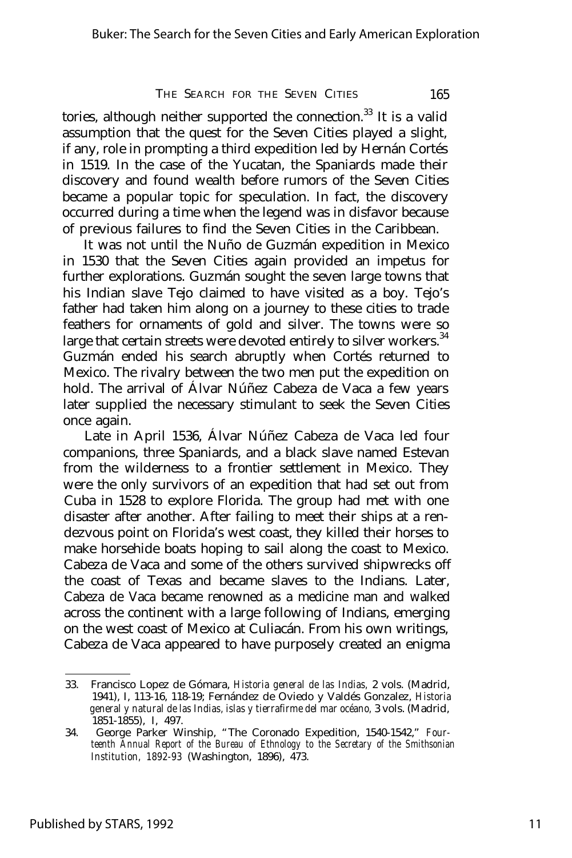tories, although neither supported the connection.<sup>33</sup> It is a valid assumption that the quest for the Seven Cities played a slight, if any, role in prompting a third expedition led by Hernán Cortés in 1519. In the case of the Yucatan, the Spaniards made their discovery and found wealth before rumors of the Seven Cities became a popular topic for speculation. In fact, the discovery occurred during a time when the legend was in disfavor because of previous failures to find the Seven Cities in the Caribbean.

It was not until the Nuño de Guzmán expedition in Mexico in 1530 that the Seven Cities again provided an impetus for further explorations. Guzmán sought the seven large towns that his Indian slave Tejo claimed to have visited as a boy. Tejo's father had taken him along on a journey to these cities to trade feathers for ornaments of gold and silver. The towns were so large that certain streets were devoted entirely to silver workers.<sup>34</sup> Guzmán ended his search abruptly when Cortés returned to Mexico. The rivalry between the two men put the expedition on hold. The arrival of Á lvar Núñez Cabeza de Vaca a few years later supplied the necessary stimulant to seek the Seven Cities once again.

Late in April 1536, Á lvar Núñez Cabeza de Vaca led four companions, three Spaniards, and a black slave named Estevan from the wilderness to a frontier settlement in Mexico. They were the only survivors of an expedition that had set out from Cuba in 1528 to explore Florida. The group had met with one disaster after another. After failing to meet their ships at a rendezvous point on Florida's west coast, they killed their horses to make horsehide boats hoping to sail along the coast to Mexico. Cabeza de Vaca and some of the others survived shipwrecks off the coast of Texas and became slaves to the Indians. Later, Cabeza de Vaca became renowned as a medicine man and walked across the continent with a large following of Indians, emerging on the west coast of Mexico at Culiacán. From his own writings, Cabeza de Vaca appeared to have purposely created an enigma

<sup>33.</sup> Francisco Lopez de Gómara, *Historia general de las Indias,* 2 vols. (Madrid, 1941), I, 113-16, 118-19; Fernández de Oviedo y Valdés Gonzalez, *Historia general y natural de las Indias, islas y tierrafirme del mar océano,* 3 vols. (Madrid, 1851-1855), I, 497.

<sup>34.</sup> George Parker Winship, "The Coronado Expedition, 1540-1542," *Fourteenth Annual Report of the Bureau of Ethnology to the Secretary of the Smithsonian Institution, 1892-93* (Washington, 1896), 473.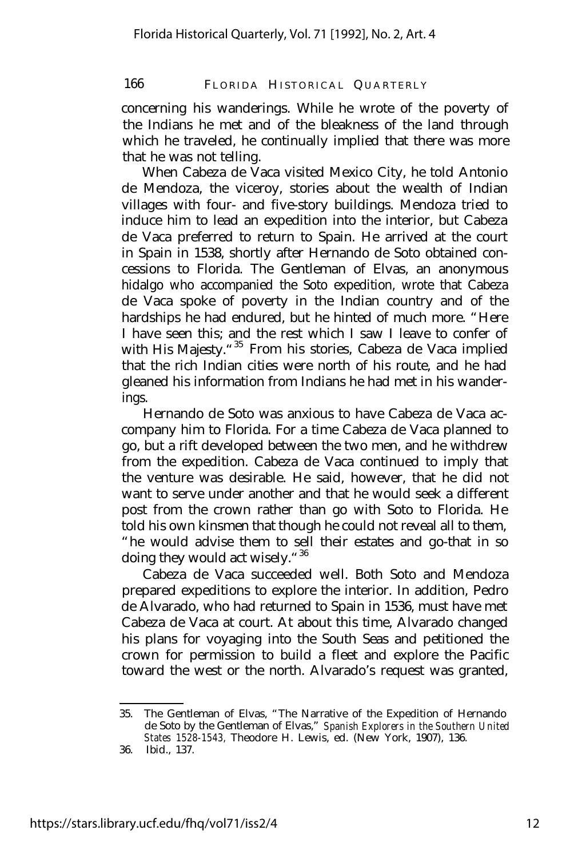concerning his wanderings. While he wrote of the poverty of the Indians he met and of the bleakness of the land through which he traveled, he continually implied that there was more that he was not telling.

When Cabeza de Vaca visited Mexico City, he told Antonio de Mendoza, the viceroy, stories about the wealth of Indian villages with four- and five-story buildings. Mendoza tried to induce him to lead an expedition into the interior, but Cabeza de Vaca preferred to return to Spain. He arrived at the court in Spain in 1538, shortly after Hernando de Soto obtained concessions to Florida. The Gentleman of Elvas, an anonymous hidalgo who accompanied the Soto expedition, wrote that Cabeza de Vaca spoke of poverty in the Indian country and of the hardships he had endured, but he hinted of much more. "Here I have seen this; and the rest which I saw I leave to confer of with His Majesty."<sup>35</sup> From his stories, Cabeza de Vaca implied that the rich Indian cities were north of his route, and he had gleaned his information from Indians he had met in his wanderings.

Hernando de Soto was anxious to have Cabeza de Vaca accompany him to Florida. For a time Cabeza de Vaca planned to go, but a rift developed between the two men, and he withdrew from the expedition. Cabeza de Vaca continued to imply that the venture was desirable. He said, however, that he did not want to serve under another and that he would seek a different post from the crown rather than go with Soto to Florida. He told his own kinsmen that though he could not reveal all to them, "he would advise them to sell their estates and go-that in so doing they would act wisely.<sup>"36</sup>

Cabeza de Vaca succeeded well. Both Soto and Mendoza prepared expeditions to explore the interior. In addition, Pedro de Alvarado, who had returned to Spain in 1536, must have met Cabeza de Vaca at court. At about this time, Alvarado changed his plans for voyaging into the South Seas and petitioned the crown for permission to build a fleet and explore the Pacific toward the west or the north. Alvarado's request was granted,

<sup>35.</sup> The Gentleman of Elvas, "The Narrative of the Expedition of Hernando de Soto by the Gentleman of Elvas," *Spanish Explorers in the Southern United States 1528-1543,* Theodore H. Lewis, ed. (New York, 1907), 136.

<sup>36.</sup> Ibid., 137.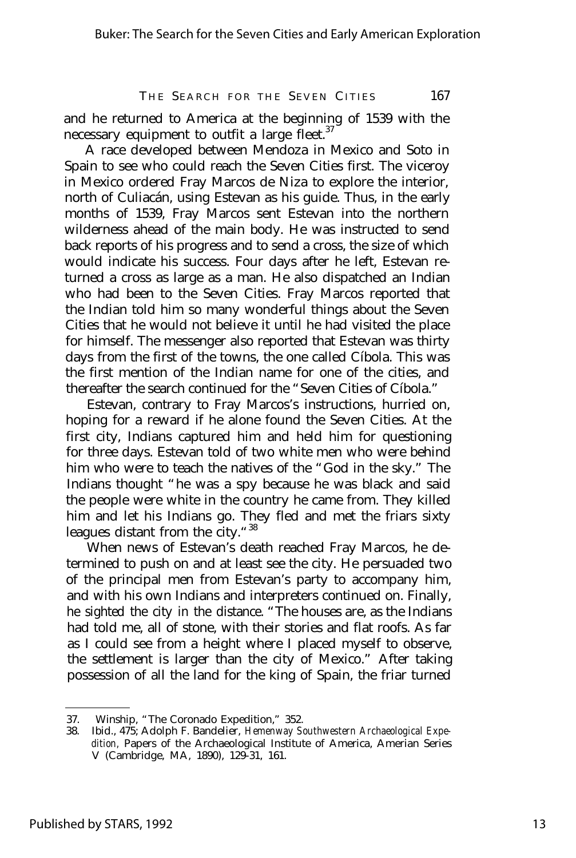and he returned to America at the beginning of 1539 with the necessary equipment to outfit a large fleet.<sup>37</sup>

A race developed between Mendoza in Mexico and Soto in Spain to see who could reach the Seven Cities first. The viceroy in Mexico ordered Fray Marcos de Niza to explore the interior, north of Culiacán, using Estevan as his guide. Thus, in the early months of 1539, Fray Marcos sent Estevan into the northern wilderness ahead of the main body. He was instructed to send back reports of his progress and to send a cross, the size of which would indicate his success. Four days after he left, Estevan returned a cross as large as a man. He also dispatched an Indian who had been to the Seven Cities. Fray Marcos reported that the Indian told him so many wonderful things about the Seven Cities that he would not believe it until he had visited the place for himself. The messenger also reported that Estevan was thirty days from the first of the towns, the one called Cíbola. This was the first mention of the Indian name for one of the cities, and thereafter the search continued for the "Seven Cities of Cíbola."

Estevan, contrary to Fray Marcos's instructions, hurried on, hoping for a reward if he alone found the Seven Cities. At the first city, Indians captured him and held him for questioning for three days. Estevan told of two white men who were behind him who were to teach the natives of the "God in the sky." The Indians thought "he was a spy because he was black and said the people were white in the country he came from. They killed him and let his Indians go. They fled and met the friars sixty leagues distant from the city."<sup>38</sup>

When news of Estevan's death reached Fray Marcos, he determined to push on and at least see the city. He persuaded two of the principal men from Estevan's party to accompany him, and with his own Indians and interpreters continued on. Finally, he sighted the city in the distance. "The houses are, as the Indians had told me, all of stone, with their stories and flat roofs. As far as I could see from a height where I placed myself to observe, the settlement is larger than the city of Mexico." After taking possession of all the land for the king of Spain, the friar turned

<sup>37.</sup> Winship, "The Coronado Expedition," 352.<br>38. Ibid., 475; Adolph F. Bandelier. Hemenway S.

<sup>38.</sup> Ibid., 475; Adolph F. Bandelier, *Hemenway Southwestern Archaeological Expedition,* Papers of the Archaeological Institute of America, Amerian Series V (Cambridge, MA, 1890), 129-31, 161.